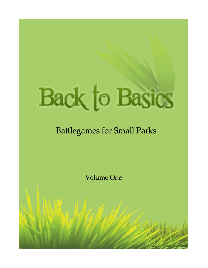# **Back to Basics**

### **Battlegames for Small Parks**

**Volume One**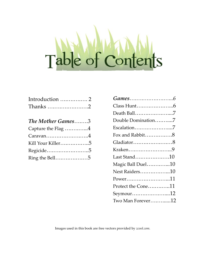# Table of Contents

| Introduction  2 |  |
|-----------------|--|
| Thanks 2        |  |

| The Mother Games3                                |  |
|--------------------------------------------------|--|
| Capture the Flag $\,\ldots\ldots\ldots\ldots\,4$ |  |
| $\rm Caravan. 4$                                 |  |
| Kill Your Killer5                                |  |
| Regicide5                                        |  |
| Ring the Bell…………………5                            |  |

| Death Ball7        |  |
|--------------------|--|
| Double Domination7 |  |
| Escalation7        |  |
| Fox and Rabbit8    |  |
| Gladiator8         |  |
| Kraken9            |  |
| Last Stand10       |  |
| Magic Ball Duel10  |  |
| Nest Raiders10     |  |
| Power11            |  |
| Protect the Cone11 |  |
| Seymour12          |  |
| Two Man Forever12  |  |

Images used in this book are free vectors provided by *zcool.com.*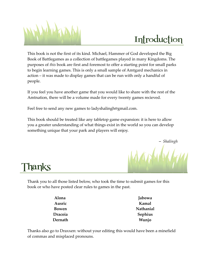

## Introduction

This book is not the first of its kind. Michael, Hammer of God developed the Big Book of Battlegames as a collection of battlegames played in many Kingdoms. The purposes of *this* book are first and foremost to offer a starting point for small parks to begin learning games. This is only a small sample of Amtgard mechanics in action – it was made to display games that can be run with only a handful of people.

If you feel you have another game that you would like to share with the rest of the Amtnation, there will be a volume made for every twenty games recieved.

Feel free to send any new games to ladyshalingh@gmail.com.

This book should be treated like any tabletop game expansion: it is here to allow you a greater understanding of what things exist in the world so you can develop something unique that your park and players will enjoy.



Thanks

Thank you to all those listed below, who took the time to submit games for this book or who have posted clear rules to games in the past.

| Alona   | Jabowa    |
|---------|-----------|
| Ausric  | Kamal     |
| Bowen   | Nathanial |
| Dracoia | Sephius   |
| Dernath | Wunjo     |

Thanks also go to Draxxen: without your editing this would have been a minefield of commas and misplaced pronouns.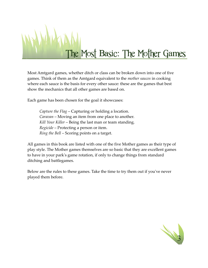

Most Amtgard games, whether ditch or class can be broken down into one of five games. Think of them as the Amtgard equivalent to the *mother sauces* in cooking where each sauce is the basis for every other sauce: these are the games that best show the mechanics that all other games are based on.

Each game has been chosen for the goal it showcases:

*Capture the Flag* – Capturing or holding a location. *Caravan* – Moving an item from one place to another. *Kill Your Killer* – Being the last man or team standing. *Regicide* – Protecting a person or item. *Ring the Bell* – Scoring points on a target.

All games in this book are listed with one of the five Mother games as their type of play style. The Mother games themselves are so basic that they are excellent games to have in your park's game rotation, if only to change things from standard ditching and battlegames.

Below are the rules to these games. Take the time to try them out if you've never played them before.

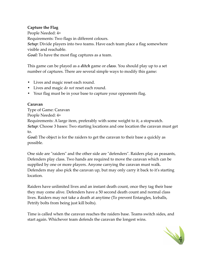#### **Capture the Flag**

People Needed: 4+ Requirements: Two flags in different colours. *Setup*: Divide players into two teams. Have each team place a flag somewhere visible and reachable. *Goal:* To have the most flag captures as a team.

This game can be played as a *ditch* game or *class*. You should play up to a set number of captures. There are several simple ways to modify this game:

- Lives and magic reset each round.
- Lives and magic *do not* reset each round.
- Your flag must be in your base to capture your opponents flag.

#### **Caravan**

Type of Game: Caravan People Needed: 4+ Requirements: A large item, preferably with some weight to it, a stopwatch. *Setup*: Choose 3 bases: Two starting locations and one location the caravan must get to.

*Goal:* The object is for the raiders to get the caravan to their base a quickly as possible.

One side are "raiders" and the other side are "defenders". Raiders play as peasants, Defenders play class. Two hands are required to move the caravan which can be supplied by one or more players. Anyone carrying the caravan must walk. Defenders may also pick the caravan up, but may only carry it back to it's starting location.

Raiders have unlimited lives and an instant death count, once they tag their base they may come alive. Defenders have a 50 second death count and normal class lives. Raiders may not take a death at anytime (To prevent Entangles, Iceballs, Petrify bolts from being just kill bolts).

Time is called when the caravan reaches the raiders base. Teams switch sides, and start again. Whichever team defends the caravan the longest wins.

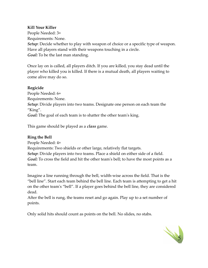#### **Kill Your Killer**

People Needed: 3+ Requirements: None. *Setup*: Decide whether to play with weapon of choice or a specific type of weapon. Have all players stand with their weapons touching in a circle. *Goal:* To be the last man standing.

Once lay on is called, all players ditch. If you are killed, you stay dead until the player who killed you is killed. If there is a mutual death, all players waiting to come alive may do so.

#### **Regicide**

People Needed: 6+ Requirements: None. *Setup*: Divide players into two teams. Designate one person on each team the "King". *Goal:* The goal of each team is to shatter the other team's king.

This game should be played as a *class* game.

#### **Ring the Bell**

People Needed: 4+ Requirements: Two shields or other large, relatively flat targets. *Setup*: Divide players into two teams. Place a shield on either side of a field. *Goal:* To cross the field and hit the other team's bell; to have the most points as a team.

Imagine a line running through the bell, width-wise across the field. That is the "bell line". Start each team behind the bell line. Each team is attempting to get a hit on the other team's "bell". If a player goes behind the bell line, they are considered dead.

After the bell is rung, the teams reset and go again. Play up to a set number of points.

Only solid hits should count as points on the bell. No slides, no stabs.

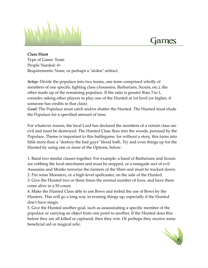

**Class Hunt** Type of Game: Team People Needed: 4+ Requirements: None, or perhaps a "stolen" artifact.

*Setup*: Divide the populace into two teams, one team comprised wholly of members of one specific fighting class (Assassins, Barbarians, Scouts, etc.), the other made up of the remaining populace. If the ratio is greater than 3 to 1, consider asking other players to play one of the Hunted at 1st level (or higher, if someone has credits in that class)

*Goal:* The Populace must catch and/or shatter the Hunted. The Hunted must elude the Populace for a specified amount of time.

For whatever reason, the local Lord has declared the members of a certain class are evil and must be destroyed. The Hunted Class flees into the woods, pursued by the Populace. Theme is important to this battlegame, for without a story, this turns into little more than a "destroy the bad guys" blood bath. Try and even things up for the Hunted by using one or more of the Options, below:

1. Band two similar classes together. For example: a band of Barbarians and Scouts are robbing the local merchants and must be stopped, or a renegade sect of evil Assassins and Monks terrorize the farmers of the Shire and must be tracked down. 2. Put some Monsters, or a high-level spellcaster, on the side of the Hunted.

3. Give the Hunted two or three times the normal number of lives, and have them come alive in a 50 count.

4. Make the Hunted Class able to use Bows and forbid the use of Bows by the Hunters. This will go a long way in evening things up, especially if the Hunted don't have magic.

5. Give the Hunted another goal, such as assassinating a specific member of the populace or carrying an object from one point to another. If the Hunted does this before they are all killed or captured, then they win. Or perhaps they receive some beneficial aid or magical relic.

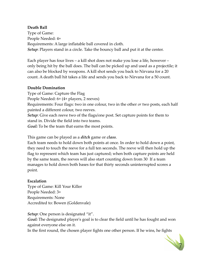#### **Death Ball**

Type of Game: People Needed: 4+ Requirements: A large inflatable ball covered in cloth. *Setup*: Players stand in a circle. Take the bouncy ball and put it at the center.

Each player has four lives – a kill shot does not make you lose a life, however – only being hit by the ball does. The ball can be picked up and used as a projectile; it can also be blocked by weapons. A kill shot sends you back to Nirvana for a 20 count. A death ball hit takes a life and sends you back to Nirvana for a 50 count.

#### **Double Domination**

Type of Game: Capture the Flag People Needed: 6+ (4+ players, 2 reeves) Requirements: Four flags: two in one colour, two in the other *or* two posts, each half painted a different colour, two reeves. *Setup*: Give each reeve two of the flags/one post. Set capture points for them to stand in. Divide the field into two teams. *Goal:* To be the team that earns the most points.

This game can be played as a *ditch* game or *class*.

Each team needs to hold down both points at once. In order to hold down a point, they need to touch the reeve for a full ten seconds. The reeve will then hold up the flag to represent which team has just captured; when both capture points are held by the same team, the reeves will also start counting down from 30 If a team manages to hold down both bases for that thirty seconds uninterrupted scores a point.

#### **Escalation**

Type of Game: Kill Your Killer People Needed: 3+ Requirements: None Accredited to: Bowen (Goldenvale)

*Setup*: One person is designated "it".

*Goal:* The designated player's goal is to clear the field until he has fought and won against everyone else on it.

In the first round, the chosen player fights one other person. If he wins, he fights

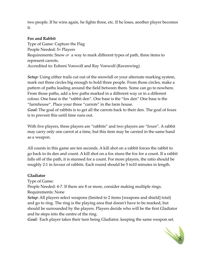two people. If he wins again, he fights three, etc. If he loses, another player becomes it.

#### **Fox and Rabbit**

Type of Game: Capture the Flag People Needed: 5+ Players Requirements: Snow *or* a way to mark different types of path, three items to represent carrots. Accredited to: Eohnni Vonwolf and Ray Vonwolf (Ravenwing)

*Setup*: Using either trails cut out of the snowfall or your alternate marking system, mark out three circles big enough to hold three people. From those circles, make a pattern of paths leading around the field between them. Some can go to nowhere. From those paths, add a few paths marked in a different way or in a different colour. One base is the "rabbit den". One base is the "fox den" One base is the "farmhouse". Place your three "carrots" in the farm house.

*Goal:* The goal of rabbits is to get all the carrots back to their den. The goal of foxes is to prevent this until time runs out.

With five players, three players are "rabbits" and two players are "foxes". A rabbit may carry only one carrot at a time, but this item may be carried in the same hand as a weapon.

All counts in this game are ten seconds. A kill shot on a rabbit forces the rabbit to go back to its den and count. A kill shot on a fox stuns the fox for a count. If a rabbit falls off of the path, it is stunned for a count. For more players, the ratio should be roughly 2:1 in favour of rabbits. Each round should be 5 to10 minutes in length.

#### **Gladiator**

Type of Game:

People Needed: 4-7. If there are 8 or more, consider making multiple rings. Requirements: None

*Setup*: All players select weapons (limited to 2 items [weapons and shield] total) and go to ring. The ring is the playing area that doesn't have to be marked, but should be surrounded by the players. Players decide who will be the first Gladiator and he steps into the centre of the ring.

*Goal:* Each player takes their turn being Gladiator, keeping the same weapon set.

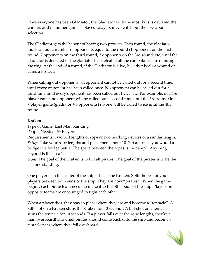Once everyone has been Gladiator, the Gladiator with the most kills is declared the winner, and if another game is played, players may switch out their weapon selection.

The Gladiator gets the benefit of having two protects. Each round, the gladiator must call out a number of opponents equal to the round (1 opponent on the first round, 2 opponents on the third round, 3 opponents on the 3rd round, etc) until the gladiator is defeated or the gladiator has defeated all the combatants surrounding the ring. At the end of a round, if the Gladiator is alive, he either heals a wound or gains a Protect.

When calling out opponents, an opponent cannot be called out for a second time, until every opponent has been called once. No opponent can be called out for a third time until every opponent has been called out twice, etc. For example, in a 4-6 player game, no opponent will be called out a second time until the 3rd round; in a 7 player game (gladiator + 6 opponents) no one will be called twice until the 4th round.

#### **Kraken**

Type of Game: Last Man Standing

People Needed: 5+ Players

Requirements: Two 50ft lengths of rope *or* two marking devices of a similar length. *Setup*: Take your rope lengths and place them about 10-20ft apart, as you would a bridge in a bridge battle. The space between the ropes is the "ship". Anything beyond is the "sea".

*Goal:* The goal of the Kraken is to kill all pirates. The goal of the pirates is to be the last one standing.

One player is in the center of the ship. This is the Kraken. Split the rest of your players between both ends of the ship. They are now "pirates". When the game begins, each pirate team needs to make it to the other side of the ship. Players on opposite teams are encouraged to fight each other.

When a player dies, they stay in place where they are and become a "tentacle". A kill-shot on a Kraken stuns the Kraken for 10 seconds. A kill-shot on a tentacle stuns the tentacle for 10 seconds. If a player falls over the rope lengths, they're a man overboard! Drowned pirates should come back onto the ship and become a tentacle near where they fell overboard.

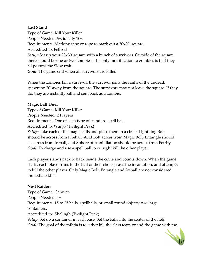#### **Last Stand**

Type of Game: Kill Your Killer People Needed: 6+, ideally 10+. Requirements: Marking tape or rope to mark out a 30x30' square. Accredited to: Felfrost *Setup:* Set up your 30x30' square with a bunch of survivors. Outside of the square, there should be one or two zombies. The only modification to zombies is that they all possess the Slow trait.

*Goal:* The game end when all survivors are killed.

When the zombies kill a survivor, the survivor joins the ranks of the undead, spawning 20' away from the square. The survivors may not leave the square. If they do, they are instantly kill and sent back as a zombie.

#### **Magic Ball Duel**

Type of Game: Kill Your Killer People Needed: 2 Players Requirements: One of each type of standard spell ball. Accredited to: Wunjo (Twilight Peak) *Setup:* Take each of the magic balls and place them in a circle. Lightning Bolt should be across from Fireball, Acid Bolt across from Magic Bolt, Entangle should be across from Iceball, and Sphere of Annihilation should be across from Petrify. *Goal:* To charge and use a spell ball to outright kill the other player.

Each player stands back to back inside the circle and counts down. When the game starts, each player runs to the ball of their choice, says the incantation, and attempts to kill the other player. Only Magic Bolt, Entangle and Iceball are not considered immediate kills.

#### **Nest Raiders**

Type of Game: Caravan People Needed: 4+ Requirements: 15 to 25 balls, spellballs, or small round objects; two large containers. Accredited to: Shalingh (Twilight Peak)

*Setup*: Set up a container in each base. Set the balls into the center of the field. *Goal:* The goal of the militia is to either kill the class team or end the game with the

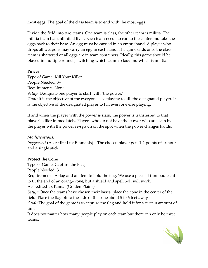most eggs. The goal of the class team is to end with the most eggs.

Divide the field into two teams. One team is class, the other team is militia. The militia team has unlimited lives. Each team needs to run to the center and take the eggs back to their base. An egg must be carried in an empty hand. A player who drops all weapons may carry an egg in each hand. The game ends once the class team is shattered or all eggs are in team containers. Ideally, this game should be played in multiple rounds, switching which team is class and which is militia.

#### **Power**

Type of Game: Kill Your Killer People Needed: 3+ Requirements: None *Setup:* Designate one player to start with "the power." *Goal:* It is the objective of the everyone else playing to kill the designated player. It is the objective of the designated player to kill everyone else playing.

If and when the player with the power is slain, the power is transferred to that player's killer immediately. Players who do not have the power who are slain by the player with the power re-spawn on the spot when the power changes hands.

#### *Modifications:*

*Juggernaut* (Accredited to: Emmanis) *–* The chosen player gets 1-2 points of armour and a single stick.

#### **Protect the Cone**

Type of Game: Capture the Flag

People Needed: 3+

Requirements: A flag and an item to hold the flag. We use a piece of funnoodle cut to fit the end of an orange cone, but a shield and spell bolt will work.

Accredited to: Kamal (Golden Plains)

*Setup:* Once the teams have chosen their bases, place the cone in the center of the field. Place the flag off to the side of the cone about 5 to 6 feet away.

*Goal:* The goal of the game is to capture the flag and hold it for a certain amount of time.

It does not matter how many people play on each team but there can only be three teams.